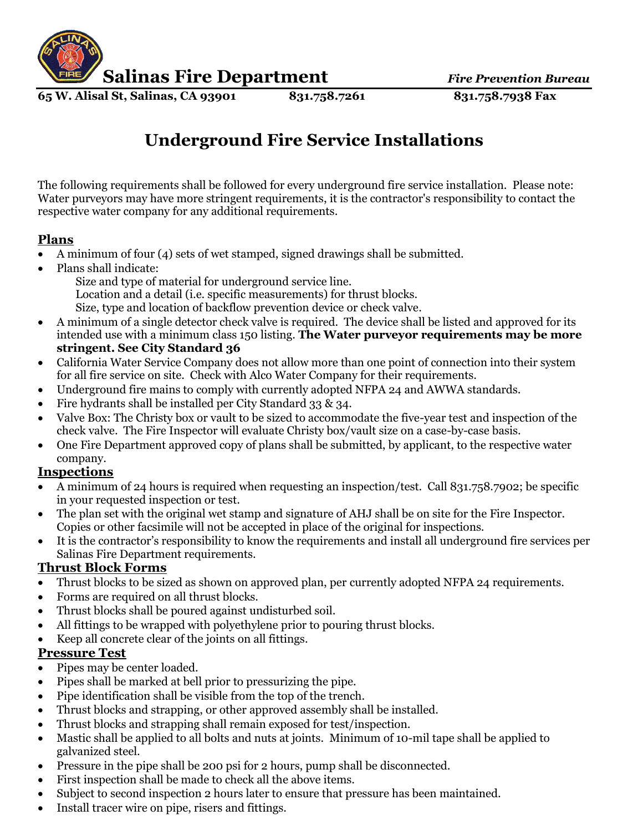

**65 W. Alisal St, Salinas, CA 93901 831.758.7261 831.758.7938 Fax**

# **Underground Fire Service Installations**

The following requirements shall be followed for every underground fire service installation. Please note: Water purveyors may have more stringent requirements, it is the contractor's responsibility to contact the respective water company for any additional requirements.

## **Plans**

- A minimum of four (4) sets of wet stamped, signed drawings shall be submitted.
- Plans shall indicate:
	- Size and type of material for underground service line. Location and a detail (i.e. specific measurements) for thrust blocks. Size, type and location of backflow prevention device or check valve.
- A minimum of a single detector check valve is required. The device shall be listed and approved for its intended use with a minimum class 150 listing. **The Water purveyor requirements may be more stringent. See City Standard 36**
- California Water Service Company does not allow more than one point of connection into their system for all fire service on site. Check with Alco Water Company for their requirements.
- Underground fire mains to comply with currently adopted NFPA 24 and AWWA standards.
- Fire hydrants shall be installed per City Standard 33 & 34.
- Valve Box: The Christy box or vault to be sized to accommodate the five-year test and inspection of the check valve. The Fire Inspector will evaluate Christy box/vault size on a case-by-case basis.
- One Fire Department approved copy of plans shall be submitted, by applicant, to the respective water company.

## **Inspections**

- A minimum of 24 hours is required when requesting an inspection/test. Call 831.758.7902; be specific in your requested inspection or test.
- The plan set with the original wet stamp and signature of AHJ shall be on site for the Fire Inspector. Copies or other facsimile will not be accepted in place of the original for inspections.
- It is the contractor's responsibility to know the requirements and install all underground fire services per Salinas Fire Department requirements.

### **Thrust Block Forms**

- Thrust blocks to be sized as shown on approved plan, per currently adopted NFPA 24 requirements.
- Forms are required on all thrust blocks.
- Thrust blocks shall be poured against undisturbed soil.
- All fittings to be wrapped with polyethylene prior to pouring thrust blocks.
- Keep all concrete clear of the joints on all fittings.

### **Pressure Test**

- Pipes may be center loaded.
- Pipes shall be marked at bell prior to pressurizing the pipe.
- Pipe identification shall be visible from the top of the trench.
- Thrust blocks and strapping, or other approved assembly shall be installed.
- Thrust blocks and strapping shall remain exposed for test/inspection.
- Mastic shall be applied to all bolts and nuts at joints. Minimum of 10-mil tape shall be applied to galvanized steel.
- Pressure in the pipe shall be 200 psi for 2 hours, pump shall be disconnected.
- First inspection shall be made to check all the above items.
- Subject to second inspection 2 hours later to ensure that pressure has been maintained.
- Install tracer wire on pipe, risers and fittings.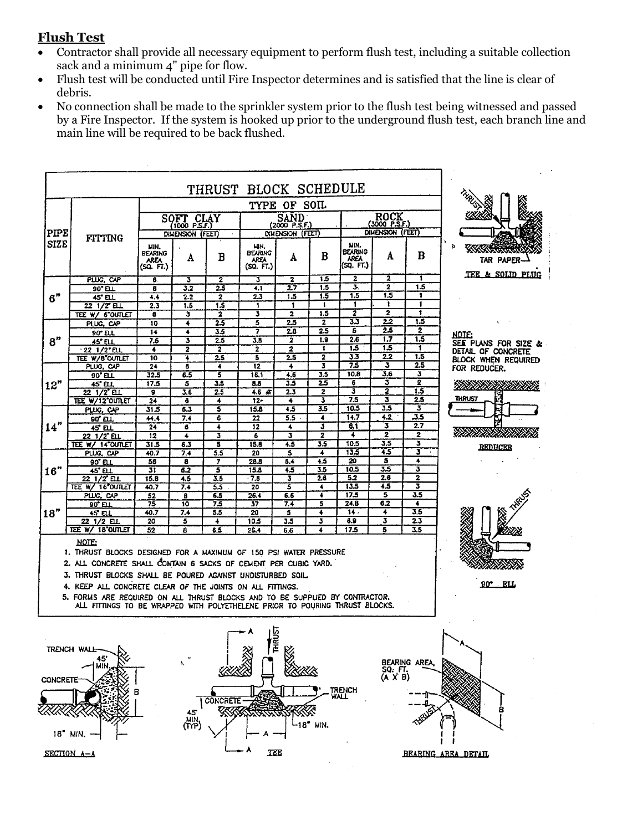#### **Flush Test**

- Contractor shall provide all necessary equipment to perform flush test, including a suitable collection sack and a minimum 4" pipe for flow.
- Flush test will be conducted until Fire Inspector determines and is satisfied that the line is clear of debris.
- No connection shall be made to the sprinkler system prior to the flush test being witnessed and passed by a Fire Inspector. If the system is hooked up prior to the underground flush test, each branch line and main line will be required to be back flushed.

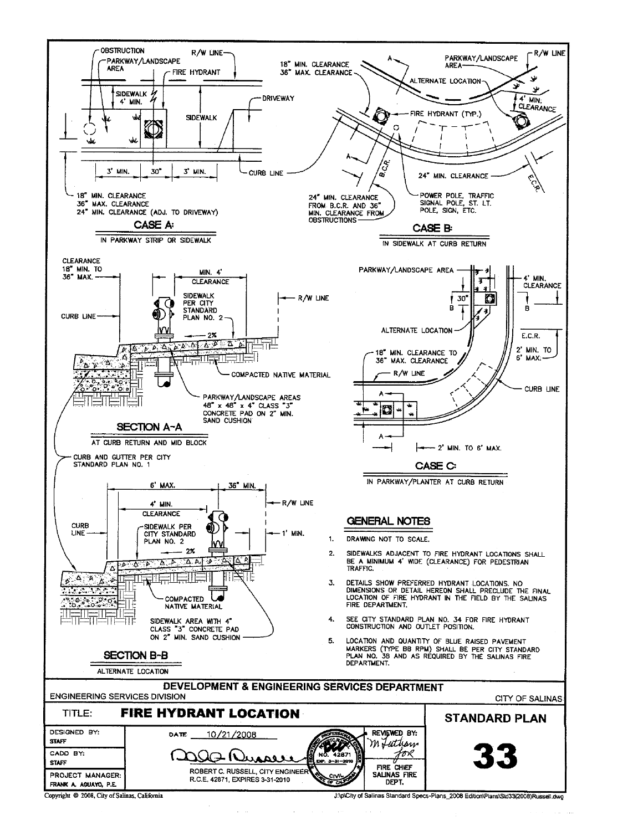

J:\p\City of Salinas Standard Specs-Plans\_2008 Edition\Plans\Std33(2008)Russell.dwg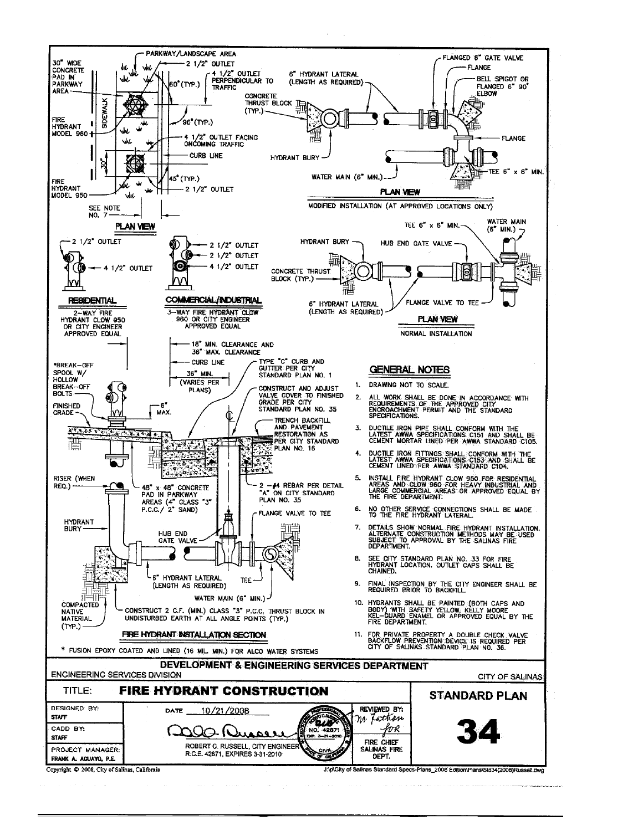